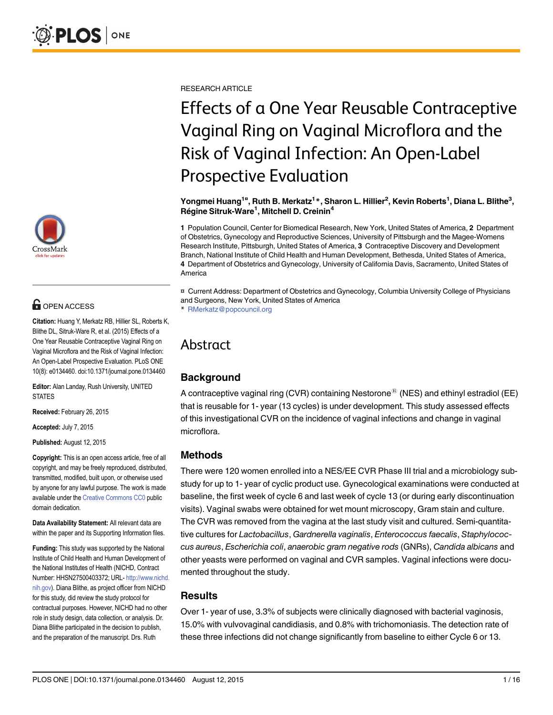

## **G** OPEN ACCESS

Citation: Huang Y, Merkatz RB, Hillier SL, Roberts K, Blithe DL, Sitruk-Ware R, et al. (2015) Effects of a One Year Reusable Contraceptive Vaginal Ring on Vaginal Microflora and the Risk of Vaginal Infection: An Open-Label Prospective Evaluation. PLoS ONE 10(8): e0134460. doi:10.1371/journal.pone.0134460

Editor: Alan Landay, Rush University, UNITED **STATES** 

Received: February 26, 2015

Accepted: July 7, 2015

Published: August 12, 2015

Copyright: This is an open access article, free of all copyright, and may be freely reproduced, distributed, transmitted, modified, built upon, or otherwise used by anyone for any lawful purpose. The work is made available under the [Creative Commons CC0](https://creativecommons.org/publicdomain/zero/1.0/) public domain dedication.

Data Availability Statement: All relevant data are within the paper and its Supporting Information files.

Funding: This study was supported by the National Institute of Child Health and Human Development of the National Institutes of Health (NICHD, Contract Number: HHSN27500403372; URL- [http://www.nichd.](http://www.nichd.nih.gov) [nih.gov\)](http://www.nichd.nih.gov). Diana Blithe, as project officer from NICHD for this study, did review the study protocol for contractual purposes. However, NICHD had no other role in study design, data collection, or analysis. Dr. Diana Blithe participated in the decision to publish, and the preparation of the manuscript. Drs. Ruth

RESEARCH ARTICLE

# Effects of a One Year Reusable Contraceptive Vaginal Ring on Vaginal Microflora and the Risk of Vaginal Infection: An Open-Label Prospective Evaluation

Yongmei Huang<sup>1¤</sup>, Ruth B. Merkatz<sup>1</sup>\*, Sharon L. Hillier<sup>2</sup>, Kevin Roberts<sup>1</sup>, Diana L. Blithe<sup>3</sup>, Régine Sitruk-Ware<sup>1</sup>, Mitchell D. Creinin<sup>4</sup>

1 Population Council, Center for Biomedical Research, New York, United States of America, 2 Department of Obstetrics, Gynecology and Reproductive Sciences, University of Pittsburgh and the Magee-Womens Research Institute, Pittsburgh, United States of America, 3 Contraceptive Discovery and Development Branch, National Institute of Child Health and Human Development, Bethesda, United States of America, 4 Department of Obstetrics and Gynecology, University of California Davis, Sacramento, United States of America

¤ Current Address: Department of Obstetrics and Gynecology, Columbia University College of Physicians and Surgeons, New York, United States of America

\* RMerkatz@popcouncil.org

## Abstract

## **Background**

A contraceptive vaginal ring (CVR) containing Nestorone<sup>®</sup> (NES) and ethinyl estradiol (EE) that is reusable for 1- year (13 cycles) is under development. This study assessed effects of this investigational CVR on the incidence of vaginal infections and change in vaginal microflora.

## Methods

There were 120 women enrolled into a NES/EE CVR Phase III trial and a microbiology substudy for up to 1- year of cyclic product use. Gynecological examinations were conducted at baseline, the first week of cycle 6 and last week of cycle 13 (or during early discontinuation visits). Vaginal swabs were obtained for wet mount microscopy, Gram stain and culture. The CVR was removed from the vagina at the last study visit and cultured. Semi-quantitative cultures for Lactobacillus, Gardnerella vaginalis, Enterococcus faecalis, Staphylococcus aureus, Escherichia coli, anaerobic gram negative rods (GNRs), Candida albicans and other yeasts were performed on vaginal and CVR samples. Vaginal infections were documented throughout the study.

## **Results**

Over 1- year of use, 3.3% of subjects were clinically diagnosed with bacterial vaginosis, 15.0% with vulvovaginal candidiasis, and 0.8% with trichomoniasis. The detection rate of these three infections did not change significantly from baseline to either Cycle 6 or 13.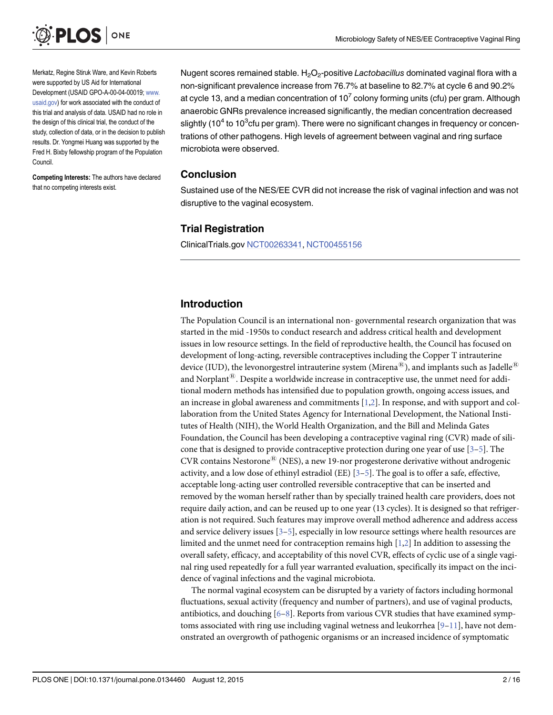<span id="page-1-0"></span>

Merkatz, Regine Stiruk Ware, and Kevin Roberts were supported by US Aid for International Development (USAID GPO-A-00-04-00019; [www.](http://www.usaid.gov) [usaid.gov](http://www.usaid.gov)) for work associated with the conduct of this trial and analysis of data. USAID had no role in the design of this clinical trial, the conduct of the study, collection of data, or in the decision to publish results. Dr. Yongmei Huang was supported by the Fred H. Bixby fellowship program of the Population Council.

Competing Interests: The authors have declared that no competing interests exist.

Nugent scores remained stable.  $H_2O_2$ -positive Lactobacillus dominated vaginal flora with a non-significant prevalence increase from 76.7% at baseline to 82.7% at cycle 6 and 90.2% at cycle 13, and a median concentration of  $10<sup>7</sup>$  colony forming units (cfu) per gram. Although anaerobic GNRs prevalence increased significantly, the median concentration decreased slightly (10<sup>4</sup> to 10<sup>3</sup>cfu per gram). There were no significant changes in frequency or concentrations of other pathogens. High levels of agreement between vaginal and ring surface microbiota were observed.

## Conclusion

Sustained use of the NES/EE CVR did not increase the risk of vaginal infection and was not disruptive to the vaginal ecosystem.

## Trial Registration

ClinicalTrials.gov [NCT00263341,](https://clinicaltrials.gov/ct2/show/NCT00263341?term=Nestorone+Contraceptive+Vaginal+Ring&rank=3) [NCT00455156](https://clinicaltrials.gov/ct2/show/NCT00455156?term=NCT00455156&rank=1)

## Introduction

The Population Council is an international non- governmental research organization that was started in the mid -1950s to conduct research and address critical health and development issues in low resource settings. In the field of reproductive health, the Council has focused on development of long-acting, reversible contraceptives including the Copper T intrauterine device (IUD), the levonorgestrel intrauterine system (Mirena $^{\circledR}$ ), and implants such as Jadelle $^{\circledR}$ and Norplant $^{\circledR}$ . Despite a worldwide increase in contraceptive use, the unmet need for additional modern methods has intensified due to population growth, ongoing access issues, and an increase in global awareness and commitments [\[1,2](#page-13-0)]. In response, and with support and collaboration from the United States Agency for International Development, the National Institutes of Health (NIH), the World Health Organization, and the Bill and Melinda Gates Foundation, the Council has been developing a contraceptive vaginal ring (CVR) made of silicone that is designed to provide contraceptive protection during one year of use  $[3-5]$  $[3-5]$  $[3-5]$ . The  $CVR$  contains Nestorone<sup>®</sup> (NES), a new 19-nor progesterone derivative without androgenic activity, and a low dose of ethinyl estradiol (EE)  $[3-5]$  $[3-5]$  $[3-5]$ . The goal is to offer a safe, effective, acceptable long-acting user controlled reversible contraceptive that can be inserted and removed by the woman herself rather than by specially trained health care providers, does not require daily action, and can be reused up to one year (13 cycles). It is designed so that refrigeration is not required. Such features may improve overall method adherence and address access and service delivery issues  $[3-5]$  $[3-5]$  $[3-5]$  $[3-5]$  $[3-5]$ , especially in low resource settings where health resources are limited and the unmet need for contraception remains high [[1](#page-13-0),[2](#page-13-0)] In addition to assessing the overall safety, efficacy, and acceptability of this novel CVR, effects of cyclic use of a single vaginal ring used repeatedly for a full year warranted evaluation, specifically its impact on the incidence of vaginal infections and the vaginal microbiota.

The normal vaginal ecosystem can be disrupted by a variety of factors including hormonal fluctuations, sexual activity (frequency and number of partners), and use of vaginal products, antibiotics, and douching  $[6-8]$  $[6-8]$  $[6-8]$ . Reports from various CVR studies that have examined symptoms associated with ring use including vaginal wetness and leukorrhea  $[9-11]$  $[9-11]$  $[9-11]$  $[9-11]$  $[9-11]$ , have not demonstrated an overgrowth of pathogenic organisms or an increased incidence of symptomatic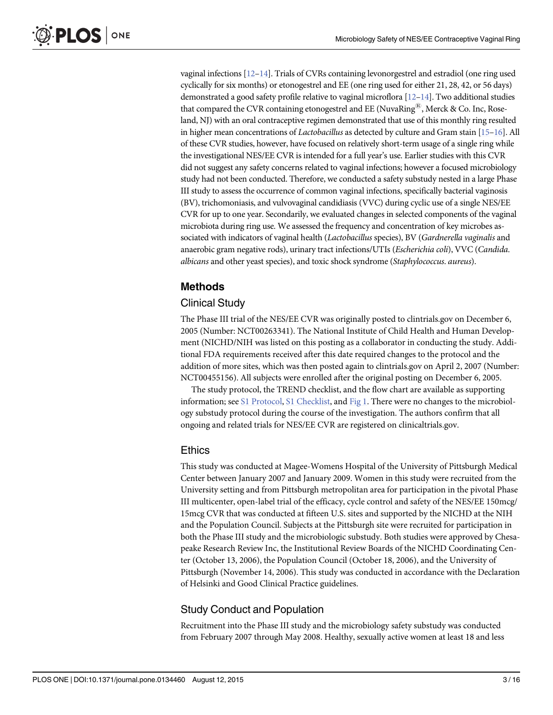<span id="page-2-0"></span>vaginal infections [\[12](#page-14-0)–[14\]](#page-14-0). Trials of CVRs containing levonorgestrel and estradiol (one ring used cyclically for six months) or etonogestrel and EE (one ring used for either 21, 28, 42, or 56 days) demonstrated a good safety profile relative to vaginal microflora [\[12](#page-14-0)–[14\]](#page-14-0). Two additional studies that compared the CVR containing etonogestrel and EE (NuvaRing®, Merck & Co. Inc, Roseland, NJ) with an oral contraceptive regimen demonstrated that use of this monthly ring resulted in higher mean concentrations of *Lactobacillus* as detected by culture and Gram stain  $[15-16]$  $[15-16]$  $[15-16]$  $[15-16]$  $[15-16]$ . All of these CVR studies, however, have focused on relatively short-term usage of a single ring while the investigational NES/EE CVR is intended for a full year's use. Earlier studies with this CVR did not suggest any safety concerns related to vaginal infections; however a focused microbiology study had not been conducted. Therefore, we conducted a safety substudy nested in a large Phase III study to assess the occurrence of common vaginal infections, specifically bacterial vaginosis (BV), trichomoniasis, and vulvovaginal candidiasis (VVC) during cyclic use of a single NES/EE CVR for up to one year. Secondarily, we evaluated changes in selected components of the vaginal microbiota during ring use. We assessed the frequency and concentration of key microbes associated with indicators of vaginal health (Lactobacillus species), BV (Gardnerella vaginalis and anaerobic gram negative rods), urinary tract infections/UTIs (Escherichia coli), VVC (Candida. albicans and other yeast species), and toxic shock syndrome (Staphylococcus. aureus).

## Methods

## Clinical Study

The Phase III trial of the NES/EE CVR was originally posted to clintrials.gov on December 6, 2005 (Number: NCT00263341). The National Institute of Child Health and Human Development (NICHD/NIH was listed on this posting as a collaborator in conducting the study. Additional FDA requirements received after this date required changes to the protocol and the addition of more sites, which was then posted again to clintrials.gov on April 2, 2007 (Number: NCT00455156). All subjects were enrolled after the original posting on December 6, 2005.

The study protocol, the TREND checklist, and the flow chart are available as supporting information; see [S1 Protocol](#page-13-0), [S1 Checklist](#page-13-0), and [Fig 1](#page-3-0). There were no changes to the microbiology substudy protocol during the course of the investigation. The authors confirm that all ongoing and related trials for NES/EE CVR are registered on clinicaltrials.gov.

#### Ethics

This study was conducted at Magee-Womens Hospital of the University of Pittsburgh Medical Center between January 2007 and January 2009. Women in this study were recruited from the University setting and from Pittsburgh metropolitan area for participation in the pivotal Phase III multicenter, open-label trial of the efficacy, cycle control and safety of the NES/EE 150mcg/ 15mcg CVR that was conducted at fifteen U.S. sites and supported by the NICHD at the NIH and the Population Council. Subjects at the Pittsburgh site were recruited for participation in both the Phase III study and the microbiologic substudy. Both studies were approved by Chesapeake Research Review Inc, the Institutional Review Boards of the NICHD Coordinating Center (October 13, 2006), the Population Council (October 18, 2006), and the University of Pittsburgh (November 14, 2006). This study was conducted in accordance with the Declaration of Helsinki and Good Clinical Practice guidelines.

## Study Conduct and Population

Recruitment into the Phase III study and the microbiology safety substudy was conducted from February 2007 through May 2008. Healthy, sexually active women at least 18 and less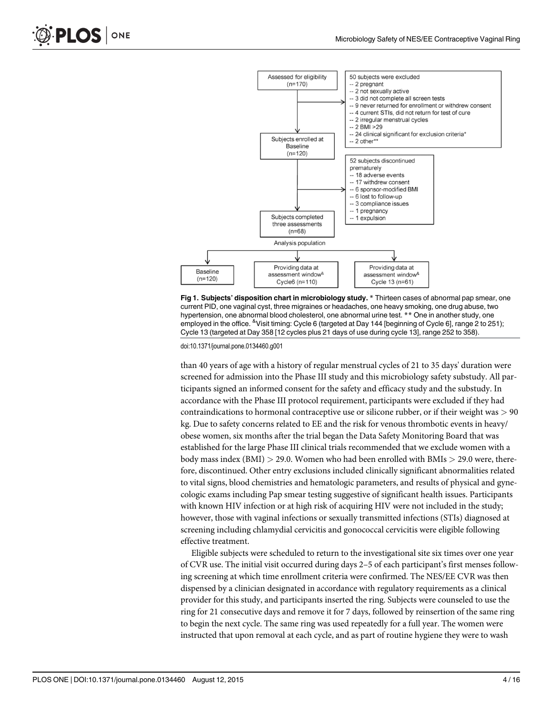

[Fig 1. S](#page-2-0)ubjects' disposition chart in microbiology study. \* Thirteen cases of abnormal pap smear, one current PID, one vaginal cyst, three migraines or headaches, one heavy smoking, one drug abuse, two hypertension, one abnormal blood cholesterol, one abnormal urine test. \*\* One in another study, one employed in the office. <sup>&</sup>Visit timing: Cycle 6 (targeted at Day 144 [beginning of Cycle 6], range 2 to 251); Cycle 13 (targeted at Day 358 [12 cycles plus 21 days of use during cycle 13], range 252 to 358).

doi:10.1371/journal.pone.0134460.g001

than 40 years of age with a history of regular menstrual cycles of 21 to 35 days' duration were screened for admission into the Phase III study and this microbiology safety substudy. All participants signed an informed consent for the safety and efficacy study and the substudy. In accordance with the Phase III protocol requirement, participants were excluded if they had contraindications to hormonal contraceptive use or silicone rubber, or if their weight was  $> 90$ kg. Due to safety concerns related to EE and the risk for venous thrombotic events in heavy/ obese women, six months after the trial began the Data Safety Monitoring Board that was established for the large Phase III clinical trials recommended that we exclude women with a body mass index (BMI)  $> 29.0$ . Women who had been enrolled with BMIs  $> 29.0$  were, therefore, discontinued. Other entry exclusions included clinically significant abnormalities related to vital signs, blood chemistries and hematologic parameters, and results of physical and gynecologic exams including Pap smear testing suggestive of significant health issues. Participants with known HIV infection or at high risk of acquiring HIV were not included in the study; however, those with vaginal infections or sexually transmitted infections (STIs) diagnosed at screening including chlamydial cervicitis and gonococcal cervicitis were eligible following effective treatment.

Eligible subjects were scheduled to return to the investigational site six times over one year of CVR use. The initial visit occurred during days 2–5 of each participant's first menses following screening at which time enrollment criteria were confirmed. The NES/EE CVR was then dispensed by a clinician designated in accordance with regulatory requirements as a clinical provider for this study, and participants inserted the ring. Subjects were counseled to use the ring for 21 consecutive days and remove it for 7 days, followed by reinsertion of the same ring to begin the next cycle. The same ring was used repeatedly for a full year. The women were instructed that upon removal at each cycle, and as part of routine hygiene they were to wash

<span id="page-3-0"></span>PLOS ONE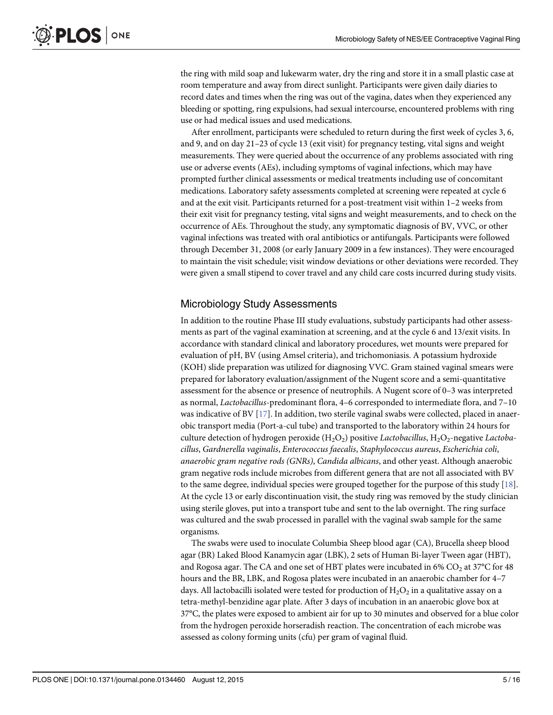<span id="page-4-0"></span>the ring with mild soap and lukewarm water, dry the ring and store it in a small plastic case at room temperature and away from direct sunlight. Participants were given daily diaries to record dates and times when the ring was out of the vagina, dates when they experienced any bleeding or spotting, ring expulsions, had sexual intercourse, encountered problems with ring use or had medical issues and used medications.

After enrollment, participants were scheduled to return during the first week of cycles 3, 6, and 9, and on day 21–23 of cycle 13 (exit visit) for pregnancy testing, vital signs and weight measurements. They were queried about the occurrence of any problems associated with ring use or adverse events (AEs), including symptoms of vaginal infections, which may have prompted further clinical assessments or medical treatments including use of concomitant medications. Laboratory safety assessments completed at screening were repeated at cycle 6 and at the exit visit. Participants returned for a post-treatment visit within 1–2 weeks from their exit visit for pregnancy testing, vital signs and weight measurements, and to check on the occurrence of AEs. Throughout the study, any symptomatic diagnosis of BV, VVC, or other vaginal infections was treated with oral antibiotics or antifungals. Participants were followed through December 31, 2008 (or early January 2009 in a few instances). They were encouraged to maintain the visit schedule; visit window deviations or other deviations were recorded. They were given a small stipend to cover travel and any child care costs incurred during study visits.

## Microbiology Study Assessments

In addition to the routine Phase III study evaluations, substudy participants had other assessments as part of the vaginal examination at screening, and at the cycle 6 and 13/exit visits. In accordance with standard clinical and laboratory procedures, wet mounts were prepared for evaluation of pH, BV (using Amsel criteria), and trichomoniasis. A potassium hydroxide (KOH) slide preparation was utilized for diagnosing VVC. Gram stained vaginal smears were prepared for laboratory evaluation/assignment of the Nugent score and a semi-quantitative assessment for the absence or presence of neutrophils. A Nugent score of 0–3 was interpreted as normal, Lactobacillus-predominant flora, 4–6 corresponded to intermediate flora, and 7–10 was indicative of BV [[17](#page-14-0)]. In addition, two sterile vaginal swabs were collected, placed in anaerobic transport media (Port-a-cul tube) and transported to the laboratory within 24 hours for culture detection of hydrogen peroxide  $(H_2O_2)$  positive Lactobacillus,  $H_2O_2$ -negative Lactobacillus, Gardnerella vaginalis, Enterococcus faecalis, Staphylococcus aureus, Escherichia coli, anaerobic gram negative rods (GNRs), Candida albicans, and other yeast. Although anaerobic gram negative rods include microbes from different genera that are not all associated with BV to the same degree, individual species were grouped together for the purpose of this study [[18](#page-14-0)]. At the cycle 13 or early discontinuation visit, the study ring was removed by the study clinician using sterile gloves, put into a transport tube and sent to the lab overnight. The ring surface was cultured and the swab processed in parallel with the vaginal swab sample for the same organisms.

The swabs were used to inoculate Columbia Sheep blood agar (CA), Brucella sheep blood agar (BR) Laked Blood Kanamycin agar (LBK), 2 sets of Human Bi-layer Tween agar (HBT), and Rogosa agar. The CA and one set of HBT plates were incubated in 6% CO<sub>2</sub> at 37 $^{\circ}$ C for 48 hours and the BR, LBK, and Rogosa plates were incubated in an anaerobic chamber for 4–7 days. All lactobacilli isolated were tested for production of  $H_2O_2$  in a qualitative assay on a tetra-methyl-benzidine agar plate. After 3 days of incubation in an anaerobic glove box at 37°C, the plates were exposed to ambient air for up to 30 minutes and observed for a blue color from the hydrogen peroxide horseradish reaction. The concentration of each microbe was assessed as colony forming units (cfu) per gram of vaginal fluid.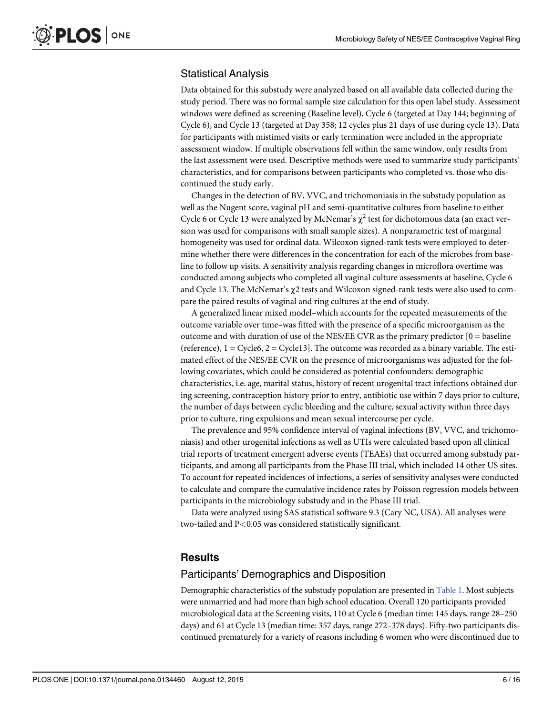## <span id="page-5-0"></span>Statistical Analysis

Data obtained for this substudy were analyzed based on all available data collected during the study period. There was no formal sample size calculation for this open label study. Assessment windows were defined as screening (Baseline level), Cycle 6 (targeted at Day 144; beginning of Cycle 6), and Cycle 13 (targeted at Day 358; 12 cycles plus 21 days of use during cycle 13). Data for participants with mistimed visits or early termination were included in the appropriate assessment window. If multiple observations fell within the same window, only results from the last assessment were used. Descriptive methods were used to summarize study participants' characteristics, and for comparisons between participants who completed vs. those who discontinued the study early.

Changes in the detection of BV, VVC, and trichomoniasis in the substudy population as well as the Nugent score, vaginal pH and semi-quantitative cultures from baseline to either Cycle 6 or Cycle 13 were analyzed by McNemar's  $\chi^2$  test for dichotomous data (an exact version was used for comparisons with small sample sizes). A nonparametric test of marginal homogeneity was used for ordinal data. Wilcoxon signed-rank tests were employed to determine whether there were differences in the concentration for each of the microbes from baseline to follow up visits. A sensitivity analysis regarding changes in microflora overtime was conducted among subjects who completed all vaginal culture assessments at baseline, Cycle 6 and Cycle 13. The McNemar's  $\gamma$ 2 tests and Wilcoxon signed-rank tests were also used to compare the paired results of vaginal and ring cultures at the end of study.

A generalized linear mixed model–which accounts for the repeated measurements of the outcome variable over time–was fitted with the presence of a specific microorganism as the outcome and with duration of use of the NES/EE CVR as the primary predictor  $[0 =$  baseline (reference),  $1 = \text{Cycle6}, 2 = \text{Cycle13}$ . The outcome was recorded as a binary variable. The estimated effect of the NES/EE CVR on the presence of microorganisms was adjusted for the following covariates, which could be considered as potential confounders: demographic characteristics, i.e. age, marital status, history of recent urogenital tract infections obtained during screening, contraception history prior to entry, antibiotic use within 7 days prior to culture, the number of days between cyclic bleeding and the culture, sexual activity within three days prior to culture, ring expulsions and mean sexual intercourse per cycle.

The prevalence and 95% confidence interval of vaginal infections (BV, VVC, and trichomoniasis) and other urogenital infections as well as UTIs were calculated based upon all clinical trial reports of treatment emergent adverse events (TEAEs) that occurred among substudy participants, and among all participants from the Phase III trial, which included 14 other US sites. To account for repeated incidences of infections, a series of sensitivity analyses were conducted to calculate and compare the cumulative incidence rates by Poisson regression models between participants in the microbiology substudy and in the Phase III trial.

Data were analyzed using SAS statistical software 9.3 (Cary NC, USA). All analyses were two-tailed and P<0.05 was considered statistically significant.

### **Results**

#### Participants' Demographics and Disposition

Demographic characteristics of the substudy population are presented in [Table 1.](#page-6-0) Most subjects were unmarried and had more than high school education. Overall 120 participants provided microbiological data at the Screening visits, 110 at Cycle 6 (median time: 145 days, range 28–250 days) and 61 at Cycle 13 (median time: 357 days, range 272–378 days). Fifty-two participants discontinued prematurely for a variety of reasons including 6 women who were discontinued due to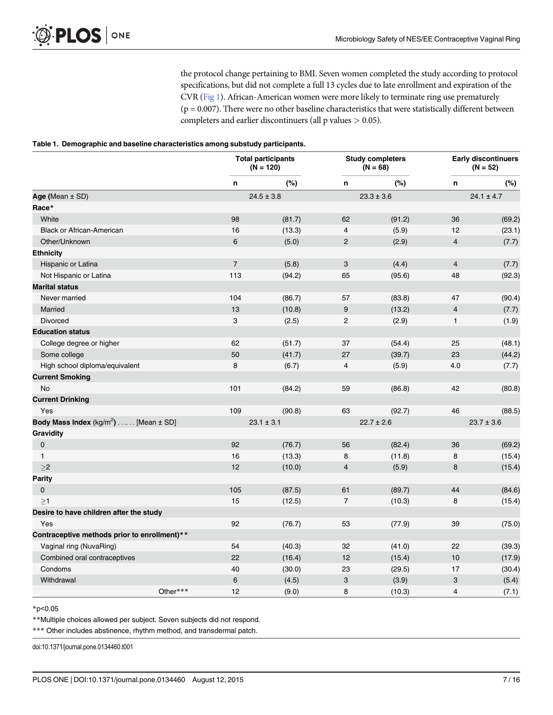the protocol change pertaining to BMI. Seven women completed the study according to protocol specifications, but did not complete a full 13 cycles due to late enrollment and expiration of the CVR [\(Fig 1\)](#page-3-0). African-American women were more likely to terminate ring use prematurely  $(p = 0.007)$ . There were no other baseline characteristics that were statistically different between completers and earlier discontinuers (all  $p$  values  $> 0.05$ ).

#### <span id="page-6-0"></span>[Table 1.](#page-5-0) Demographic and baseline characteristics among substudy participants.

|                                              | <b>Total participants</b><br>$(N = 120)$ |        | <b>Study completers</b><br>$(N = 68)$ |        | <b>Early discontinuers</b><br>$(N = 52)$ |        |
|----------------------------------------------|------------------------------------------|--------|---------------------------------------|--------|------------------------------------------|--------|
|                                              | n                                        | (%)    | n                                     | (%)    | n                                        | (%)    |
| Age (Mean ± SD)                              | $24.5 \pm 3.8$                           |        | $23.3 \pm 3.6$                        |        | $24.1 \pm 4.7$                           |        |
| Race*                                        |                                          |        |                                       |        |                                          |        |
| White                                        | 98                                       | (81.7) | 62                                    | (91.2) | 36                                       | (69.2) |
| <b>Black or African-American</b>             | 16                                       | (13.3) | 4                                     | (5.9)  | 12                                       | (23.1) |
| Other/Unknown                                | 6                                        | (5.0)  | $\overline{c}$                        | (2.9)  | $\overline{4}$                           | (7.7)  |
| <b>Ethnicity</b>                             |                                          |        |                                       |        |                                          |        |
| Hispanic or Latina                           | $\overline{7}$                           | (5.8)  | 3                                     | (4.4)  | $\overline{4}$                           | (7.7)  |
| Not Hispanic or Latina                       | 113                                      | (94.2) | 65                                    | (95.6) | 48                                       | (92.3) |
| <b>Marital status</b>                        |                                          |        |                                       |        |                                          |        |
| Never married                                | 104                                      | (86.7) | 57                                    | (83.8) | 47                                       | (90.4) |
| Married                                      | 13                                       | (10.8) | 9                                     | (13.2) | $\overline{4}$                           | (7.7)  |
| <b>Divorced</b>                              | 3                                        | (2.5)  | 2                                     | (2.9)  | $\mathbf{1}$                             | (1.9)  |
| <b>Education status</b>                      |                                          |        |                                       |        |                                          |        |
| College degree or higher                     | 62                                       | (51.7) | 37                                    | (54.4) | 25                                       | (48.1) |
| Some college                                 | 50                                       | (41.7) | 27                                    | (39.7) | 23                                       | (44.2) |
| High school diploma/equivalent               | 8                                        | (6.7)  | 4                                     | (5.9)  | 4.0                                      | (7.7)  |
| <b>Current Smoking</b>                       |                                          |        |                                       |        |                                          |        |
| No                                           | 101                                      | (84.2) | 59                                    | (86.8) | 42                                       | (80.8) |
| <b>Current Drinking</b>                      |                                          |        |                                       |        |                                          |        |
| Yes                                          | 109                                      | (90.8) | 63                                    | (92.7) | 46                                       | (88.5) |
| Body Mass Index $(kg/m^2)$ [Mean $\pm$ SD]   | $23.1 \pm 3.1$                           |        | $22.7 \pm 2.6$                        |        | $23.7 \pm 3.6$                           |        |
| <b>Gravidity</b>                             |                                          |        |                                       |        |                                          |        |
| $\mathbf 0$                                  | 92                                       | (76.7) | 56                                    | (82.4) | 36                                       | (69.2) |
| $\mathbf{1}$                                 | 16                                       | (13.3) | 8                                     | (11.8) | 8                                        | (15.4) |
| $\geq$ 2                                     | 12                                       | (10.0) | $\overline{\mathbf{4}}$               | (5.9)  | 8                                        | (15.4) |
| <b>Parity</b>                                |                                          |        |                                       |        |                                          |        |
| $\mathbf 0$                                  | 105                                      | (87.5) | 61                                    | (89.7) | 44                                       | (84.6) |
| >1                                           | 15                                       | (12.5) | $\overline{7}$                        | (10.3) | 8                                        | (15.4) |
| Desire to have children after the study      |                                          |        |                                       |        |                                          |        |
| Yes                                          | 92                                       | (76.7) | 53                                    | (77.9) | 39                                       | (75.0) |
| Contraceptive methods prior to enrollment)** |                                          |        |                                       |        |                                          |        |
| Vaginal ring (NuvaRing)                      | 54                                       | (40.3) | 32                                    | (41.0) | 22                                       | (39.3) |
| Combined oral contraceptives                 | 22                                       | (16.4) | 12                                    | (15.4) | 10                                       | (17.9) |
| Condoms                                      | 40                                       | (30.0) | 23                                    | (29.5) | 17                                       | (30.4) |
| Withdrawal                                   | 6                                        | (4.5)  | $\ensuremath{\mathsf{3}}$             | (3.9)  | 3                                        | (5.4)  |
| Other***                                     | 12                                       | (9.0)  | 8                                     | (10.3) | 4                                        | (7.1)  |

#### \*p<0.05

\*\*Multiple choices allowed per subject. Seven subjects did not respond.

\*\*\* Other includes abstinence, rhythm method, and transdermal patch.

doi:10.1371/journal.pone.0134460.t001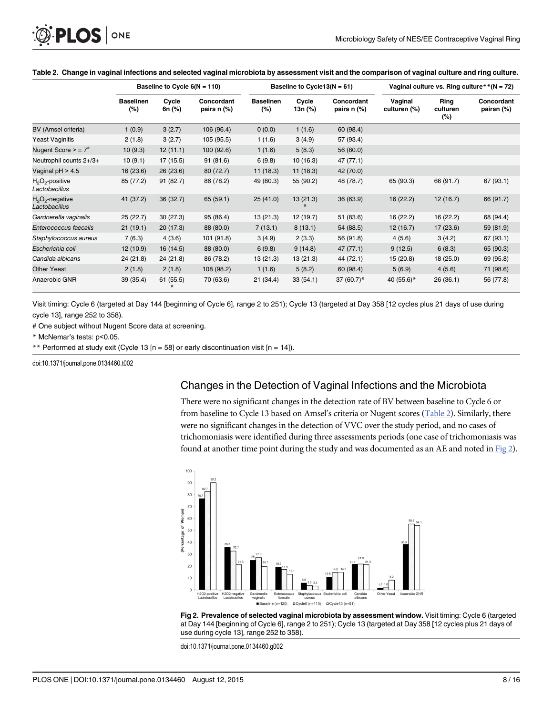<span id="page-7-0"></span>

|                                     | Baseline to Cycle $6(N = 110)$ |                 | Baseline to Cycle13( $N = 61$ ) |                         |                  | Vaginal culture vs. Ring culture ** ( $N = 72$ ) |                         |                            |                          |
|-------------------------------------|--------------------------------|-----------------|---------------------------------|-------------------------|------------------|--------------------------------------------------|-------------------------|----------------------------|--------------------------|
|                                     | <b>Baselinen</b><br>(%)        | Cycle<br>6n (%) | Concordant<br>pairs n (%)       | <b>Baselinen</b><br>(%) | Cycle<br>13n (%) | Concordant<br>pairs n (%)                        | Vaginal<br>culturen (%) | Ring<br>culturen<br>$(\%)$ | Concordant<br>pairsn (%) |
| BV (Amsel criteria)                 | 1(0.9)                         | 3(2.7)          | 106 (96.4)                      | 0(0.0)                  | 1(1.6)           | 60 (98.4)                                        |                         |                            |                          |
| <b>Yeast Vaginitis</b>              | 2(1.8)                         | 3(2.7)          | 105 (95.5)                      | 1(1.6)                  | 3(4.9)           | 57 (93.4)                                        |                         |                            |                          |
| Nugent Score $>$ = $7^{\#}$         | 10(9.3)                        | 12(11.1)        | 100 (92.6)                      | 1(1.6)                  | 5(8.3)           | 56 (80.0)                                        |                         |                            |                          |
| Neutrophil counts 2+/3+             | 10(9.1)                        | 17 (15.5)       | 91(81.6)                        | 6(9.8)                  | 10(16.3)         | 47 (77.1)                                        |                         |                            |                          |
| Vaginal $pH > 4.5$                  | 16(23.6)                       | 26(23.6)        | 80 (72.7)                       | 11(18.3)                | 11(18.3)         | 42 (70.0)                                        |                         |                            |                          |
| $H_2O_2$ -positive<br>Lactobacillus | 85 (77.2)                      | 91 (82.7)       | 86 (78.2)                       | 49 (80.3)               | 55 (90.2)        | 48 (78.7)                                        | 65 (90.3)               | 66 (91.7)                  | 67 (93.1)                |
| $H_2O_2$ -negative<br>Lactobacillus | 41 (37.2)                      | 36(32.7)        | 65 (59.1)                       | 25(41.0)                | 13(21.3)         | 36(63.9)                                         | 16(22.2)                | 12(16.7)                   | 66 (91.7)                |
| Gardnerella vaginalis               | 25(22.7)                       | 30(27.3)        | 95 (86.4)                       | 13(21.3)                | 12 (19.7)        | 51 (83.6)                                        | 16(22.2)                | 16 (22.2)                  | 68 (94.4)                |
| Enterococcus faecalis               | 21(19.1)                       | 20(17.3)        | 88 (80.0)                       | 7(13.1)                 | 8(13.1)          | 54 (88.5)                                        | 12(16.7)                | 17(23.6)                   | 59 (81.9)                |
| Staphylococcus aureus               | 7(6.3)                         | 4(3.6)          | 101 (91.8)                      | 3(4.9)                  | 2(3.3)           | 56 (91.8)                                        | 4(5.6)                  | 3(4.2)                     | 67 (93.1)                |
| Escherichia coli                    | 12(10.9)                       | 16 (14.5)       | 88 (80.0)                       | 6(9.8)                  | 9(14.8)          | 47(77.1)                                         | 9(12.5)                 | 6(8.3)                     | 65 (90.3)                |
| Candida albicans                    | 24(21.8)                       | 24(21.8)        | 86 (78.2)                       | 13(21.3)                | 13(21.3)         | 44 (72.1)                                        | 15(20.8)                | 18(25.0)                   | 69 (95.8)                |
| <b>Other Yeast</b>                  | 2(1.8)                         | 2(1.8)          | 108 (98.2)                      | 1(1.6)                  | 5(8.2)           | 60 (98.4)                                        | 5(6.9)                  | 4(5.6)                     | 71 (98.6)                |
| Anaerobic GNR                       | 39(35.4)                       | 61(55.5)        | 70 (63.6)                       | 21(34.4)                | 33(54.1)         | 37 $(60.7)^*$                                    | 40 (55.6)*              | 26(36.1)                   | 56 (77.8)                |

#### Table 2. Change in vaginal infections and selected vaginal microbiota by assessment visit and the comparison of vaginal culture and ring culture.

Visit timing: Cycle 6 (targeted at Day 144 [beginning of Cycle 6], range 2 to 251); Cycle 13 (targeted at Day 358 [12 cycles plus 21 days of use during cycle 13], range 252 to 358).

# One subject without Nugent Score data at screening.

\* McNemar's tests: p<0.05.

\*\* Performed at study exit (Cycle 13 [n = 58] or early discontinuation visit [n = 14]).

doi:10.1371/journal.pone.0134460.t002

#### Changes in the Detection of Vaginal Infections and the Microbiota

There were no significant changes in the detection rate of BV between baseline to Cycle 6 or from baseline to Cycle 13 based on Amsel's criteria or Nugent scores (Table 2). Similarly, there were no significant changes in the detection of VVC over the study period, and no cases of trichomoniasis were identified during three assessments periods (one case of trichomoniasis was found at another time point during the study and was documented as an AE and noted in Fig 2).



Fig 2. Prevalence of selected vaginal microbiota by assessment window. Visit timing: Cycle 6 (targeted at Day 144 [beginning of Cycle 6], range 2 to 251); Cycle 13 (targeted at Day 358 [12 cycles plus 21 days of use during cycle 13], range 252 to 358).

doi:10.1371/journal.pone.0134460.g002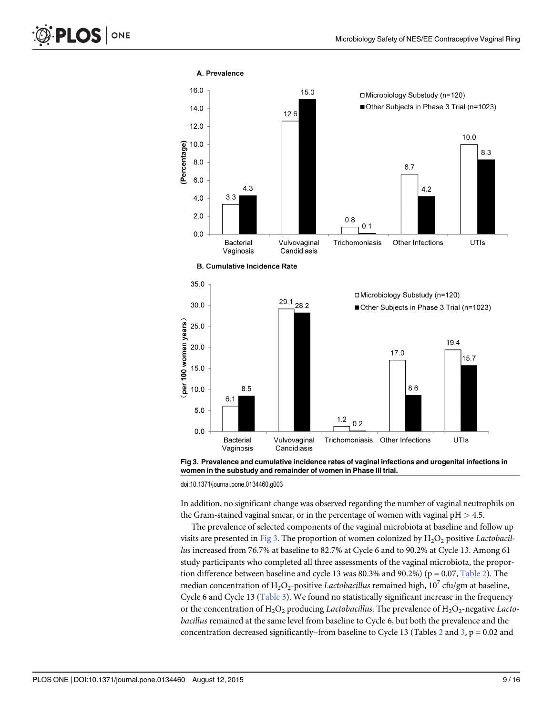<span id="page-8-0"></span>

Fig 3. Prevalence and cumulative incidence rates of vaginal infections and urogenital infections in women in the substudy and remainder of women in Phase III trial.

doi:10.1371/journal.pone.0134460.g003

In addition, no significant change was observed regarding the number of vaginal neutrophils on the Gram-stained vaginal smear, or in the percentage of women with vaginal  $pH > 4.5$ .

The prevalence of selected components of the vaginal microbiota at baseline and follow up visits are presented in Fig 3. The proportion of women colonized by  $H_2O_2$  positive Lactobacillus increased from 76.7% at baseline to 82.7% at Cycle 6 and to 90.2% at Cycle 13. Among 61 study participants who completed all three assessments of the vaginal microbiota, the proportion difference between baseline and cycle 13 was 80.3% and 90.2%) ( $p = 0.07$ , [Table 2\)](#page-7-0). The median concentration of H<sub>2</sub>O<sub>2</sub>-positive Lactobacillus remained high, 10<sup>7</sup> cfu/gm at baseline, Cycle 6 and Cycle 13 ([Table 3](#page-9-0)). We found no statistically significant increase in the frequency or the concentration of  $H_2O_2$  producing Lactobacillus. The prevalence of  $H_2O_2$ -negative Lactobacillus remained at the same level from baseline to Cycle 6, but both the prevalence and the concentration decreased significantly–from baseline to Cycle 13 (Tables [2](#page-7-0) and [3,](#page-9-0)  $p = 0.02$  and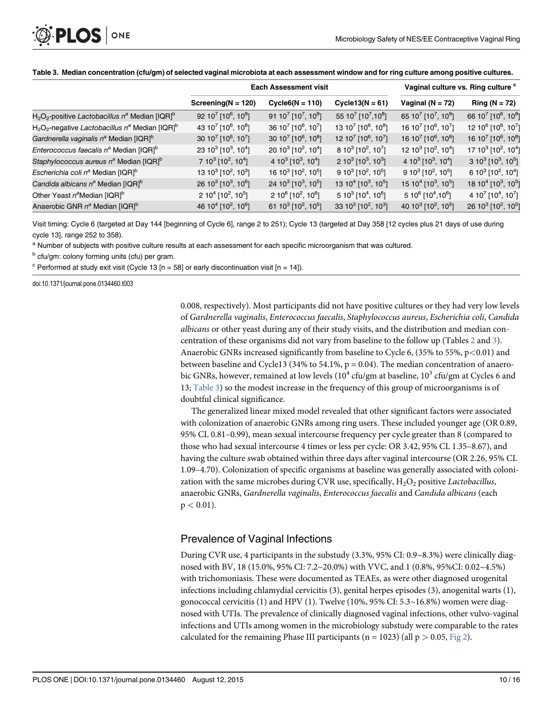<span id="page-9-0"></span>

|                                                                           |                                                         | <b>Each Assessment visit</b>                            | Vaginal culture vs. Ring culture c                      |                                                         |                                                         |
|---------------------------------------------------------------------------|---------------------------------------------------------|---------------------------------------------------------|---------------------------------------------------------|---------------------------------------------------------|---------------------------------------------------------|
|                                                                           | Screening( $N = 120$ )                                  | $Cycle6(N = 110)$                                       | Cycle13( $N = 61$ )                                     | Vaginal ( $N = 72$ )                                    | Ring ( $N = 72$ )                                       |
| $H_2O_2$ -positive Lactobacillus n <sup>a</sup> Median [IQR] <sup>b</sup> | 92 10 <sup>7</sup> [10 <sup>6</sup> , 10 <sup>8</sup> ] | 91 10 <sup>7</sup> [10 <sup>7</sup> , 10 <sup>8</sup> ] | 55 107 [107,108]                                        | 65 10 <sup>7</sup> [10 <sup>7</sup> , 10 <sup>8</sup> ] | 66 10 <sup>7</sup> [10 <sup>6</sup> , 10 <sup>8</sup> ] |
| $H_2O_2$ -negative Lactobacillus n <sup>a</sup> Median [IQR] <sup>b</sup> | 43 10 <sup>7</sup> [10 <sup>6</sup> , 10 <sup>8</sup> ] | 36 10 <sup>7</sup> [10 <sup>6</sup> , 10 <sup>7</sup> ] | 13 10 <sup>7</sup> [10 <sup>6</sup> , 10 <sup>8</sup> ] | 16 10 <sup>7</sup> [10 <sup>6</sup> , 10 <sup>7</sup> ] | 12 10 <sup>6</sup> [10 <sup>6</sup> , 10 <sup>7</sup> ] |
| Gardnerella vaginalis n <sup>a</sup> Median [IQR] <sup>b</sup>            | 30 10 <sup>7</sup> [10 <sup>6</sup> , 10 <sup>7</sup> ] | 30 10 <sup>7</sup> [10 <sup>6</sup> , 10 <sup>8</sup> ] | 12 10 <sup>7</sup> [10 <sup>6</sup> , 10 <sup>7</sup> ] | 16 10 <sup>7</sup> [10 <sup>6</sup> , 10 <sup>8</sup> ] | 16 10 <sup>7</sup> [10 <sup>6</sup> , 10 <sup>8</sup> ] |
| Enterococcus faecalis n <sup>a</sup> Median [IQR] <sup>b</sup>            | 23 10 <sup>3</sup> [10 <sup>3</sup> , 10 <sup>4</sup> ] | 20 10 <sup>3</sup> [10 <sup>2</sup> , 10 <sup>4</sup> ] | $810^3$ [10 <sup>2</sup> , 10 <sup>7</sup> ]            | 12 10 <sup>3</sup> [10 <sup>2</sup> , 10 <sup>4</sup> ] | 17 10 <sup>3</sup> [10 <sup>2</sup> , 10 <sup>4</sup> ] |
| Staphylococcus aureus n <sup>a</sup> Median [IQR] <sup>b</sup>            | 7 10 <sup>3</sup> [10 <sup>2</sup> , 10 <sup>4</sup> ]  | 4 10 <sup>3</sup> [10 <sup>3</sup> , 10 <sup>4</sup> ]  | 2 10 <sup>3</sup> [10 <sup>3</sup> , 10 <sup>3</sup> ]  | 4 10 <sup>3</sup> [10 <sup>3</sup> , 10 <sup>4</sup> ]  | 3 10 <sup>3</sup> [10 <sup>3</sup> , 10 <sup>5</sup> ]  |
| Escherichia coli n <sup>a</sup> Median [IQR] <sup>b</sup>                 | 13 10 <sup>3</sup> [10 <sup>2</sup> , 10 <sup>3</sup> ] | 16 10 <sup>3</sup> [10 <sup>2</sup> , 10 <sup>5</sup> ] | $9 10^3$ [10 <sup>2</sup> , 10 <sup>5</sup> ]           | $9 10^3$ [10 <sup>2</sup> , 10 <sup>5</sup> ]           | 6 10 <sup>3</sup> [10 <sup>2</sup> , 10 <sup>4</sup> ]  |
| Candida albicans n <sup>a</sup> Median [IQR] <sup>b</sup>                 | 26 10 <sup>3</sup> [10 <sup>3</sup> , 10 <sup>6</sup> ] | 24 10 <sup>3</sup> [10 <sup>3</sup> , 10 <sup>5</sup> ] | 13 10 <sup>4</sup> [10 <sup>3</sup> , 10 <sup>5</sup> ] | 15 10 <sup>4</sup> [10 <sup>3</sup> , 10 <sup>5</sup> ] | 18 10 <sup>4</sup> [10 <sup>3</sup> , 10 <sup>5</sup> ] |
| Other Yeast $n^a$ Median [IQR] <sup>b</sup>                               | 2 10 <sup>4</sup> [10 <sup>2</sup> , 10 <sup>5</sup> ]  | 2 10 <sup>6</sup> [10 <sup>2</sup> , 10 <sup>6</sup> ]  | $5 10^3$ [10 <sup>4</sup> , 10 <sup>6</sup> ]           | $510^6$ [10 <sup>4</sup> , 10 <sup>6</sup> ]            | 4 10 <sup>7</sup> [10 <sup>4</sup> , 10 <sup>7</sup> ]  |
| Anaerobic GNR n <sup>a</sup> Median [IQR] <sup>b</sup>                    | 46 10 <sup>4</sup> [10 <sup>2</sup> , 10 <sup>6</sup> ] | 61 10 <sup>3</sup> [10 <sup>2</sup> , 10 <sup>5</sup> ] | 33 10 <sup>3</sup> [10 <sup>2</sup> , 10 <sup>3</sup> ] | 40 10 <sup>3</sup> [10 <sup>2</sup> , 10 <sup>5</sup> ] | 26 10 <sup>3</sup> [10 <sup>2</sup> , 10 <sup>5</sup> ] |

#### [Table 3.](#page-8-0) Median concentration (cfu/gm) of selected vaginal microbiota at each assessment window and for ring culture among positive cultures.

Visit timing: Cycle 6 (targeted at Day 144 [beginning of Cycle 6], range 2 to 251); Cycle 13 (targeted at Day 358 [12 cycles plus 21 days of use during cycle 13], range 252 to 358).

a Number of subjects with positive culture results at each assessment for each specific microorganism that was cultured.

b cfu/gm: colony forming units (cfu) per gram.

 $\textdegree$  Performed at study exit visit (Cycle 13 [n = 58] or early discontinuation visit [n = 14]).

doi:10.1371/journal.pone.0134460.t003

0.008, respectively). Most participants did not have positive cultures or they had very low levels of Gardnerella vaginalis, Enterococcus faecalis, Staphylococcus aureus, Escherichia coli, Candida albicans or other yeast during any of their study visits, and the distribution and median concentration of these organisms did not vary from baseline to the follow up (Tables [2](#page-7-0) and 3). Anaerobic GNRs increased significantly from baseline to Cycle 6,  $(35\%$  to 55%, p<0.01) and between baseline and Cycle13 (34% to 54.1%,  $p = 0.04$ ). The median concentration of anaerobic GNRs, however, remained at low levels  $(10^4 \text{ cfu/gm at baseline}, 10^3 \text{ cfu/gm at Cycles } 6 \text{ and } 6 \text{ m}$ 13; Table 3) so the modest increase in the frequency of this group of microorganisms is of doubtful clinical significance.

The generalized linear mixed model revealed that other significant factors were associated with colonization of anaerobic GNRs among ring users. These included younger age (OR 0.89, 95% CL 0.81–0.99), mean sexual intercourse frequency per cycle greater than 8 (compared to those who had sexual intercourse 4 times or less per cycle: OR 3.42, 95% CL 1.35–8.67), and having the culture swab obtained within three days after vaginal intercourse (OR 2.26, 95% CL 1.09–4.70). Colonization of specific organisms at baseline was generally associated with colonization with the same microbes during CVR use, specifically,  $H_2O_2$  positive Lactobacillus, anaerobic GNRs, Gardnerella vaginalis, Enterococcus faecalis and Candida albicans (each  $p < 0.01$ ).

#### Prevalence of Vaginal Infections

During CVR use, 4 participants in the substudy (3.3%, 95% CI: 0.9~8.3%) were clinically diagnosed with BV, 18 (15.0%, 95% CI: 7.2~20.0%) with VVC, and 1 (0.8%, 95%CI: 0.02~4.5%) with trichomoniasis. These were documented as TEAEs, as were other diagnosed urogenital infections including chlamydial cervicitis (3), genital herpes episodes (3), anogenital warts (1), gonococcal cervicitis  $(1)$  and HPV  $(1)$ . Twelve  $(10\%, 95\% \text{ CI: } 5.3 \sim 16.8\%)$  women were diagnosed with UTIs. The prevalence of clinically diagnosed vaginal infections, other vulvo-vaginal infections and UTIs among women in the microbiology substudy were comparable to the rates calculated for the remaining Phase III participants ( $n = 1023$ ) (all  $p > 0.05$ , [Fig 2](#page-7-0)).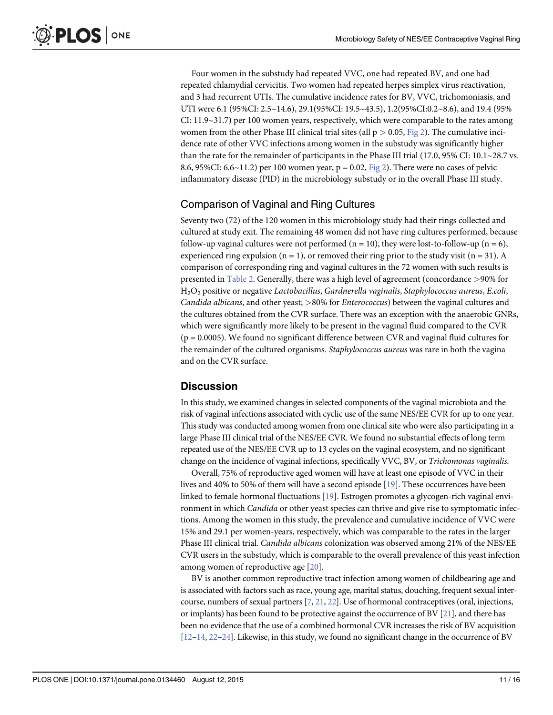<span id="page-10-0"></span>Four women in the substudy had repeated VVC, one had repeated BV, and one had repeated chlamydial cervicitis. Two women had repeated herpes simplex virus reactivation, and 3 had recurrent UTIs. The cumulative incidence rates for BV, VVC, trichomoniasis, and UTI were 6.1 (95%CI: 2.5~14.6), 29.1(95%CI: 19.5~43.5), 1.2(95%CI:0.2~8.6), and 19.4 (95% CI: 11.9~31.7) per 100 women years, respectively, which were comparable to the rates among women from the other Phase III clinical trial sites (all  $p > 0.05$ , [Fig 2](#page-7-0)). The cumulative incidence rate of other VVC infections among women in the substudy was significantly higher than the rate for the remainder of participants in the Phase III trial (17.0, 95% CI: 10.1~28.7 vs. 8.6, 95%CI: 6.6~11.2) per 100 women year,  $p = 0.02$ , [Fig 2\)](#page-7-0). There were no cases of pelvic inflammatory disease (PID) in the microbiology substudy or in the overall Phase III study.

## Comparison of Vaginal and Ring Cultures

Seventy two (72) of the 120 women in this microbiology study had their rings collected and cultured at study exit. The remaining 48 women did not have ring cultures performed, because follow-up vaginal cultures were not performed ( $n = 10$ ), they were lost-to-follow-up ( $n = 6$ ), experienced ring expulsion ( $n = 1$ ), or removed their ring prior to the study visit ( $n = 31$ ). A comparison of corresponding ring and vaginal cultures in the 72 women with such results is presented in [Table 2](#page-7-0). Generally, there was a high level of agreement (concordance >90% for H2O2 positive or negative Lactobacillus, Gardnerella vaginalis, Staphylococcus aureus, E.coli, Candida albicans, and other yeast; >80% for Enterococcus) between the vaginal cultures and the cultures obtained from the CVR surface. There was an exception with the anaerobic GNRs, which were significantly more likely to be present in the vaginal fluid compared to the CVR (p = 0.0005). We found no significant difference between CVR and vaginal fluid cultures for the remainder of the cultured organisms. *Staphylococcus aureus* was rare in both the vagina and on the CVR surface.

## **Discussion**

In this study, we examined changes in selected components of the vaginal microbiota and the risk of vaginal infections associated with cyclic use of the same NES/EE CVR for up to one year. This study was conducted among women from one clinical site who were also participating in a large Phase III clinical trial of the NES/EE CVR. We found no substantial effects of long term repeated use of the NES/EE CVR up to 13 cycles on the vaginal ecosystem, and no significant change on the incidence of vaginal infections, specifically VVC, BV, or Trichomonas vaginalis.

Overall, 75% of reproductive aged women will have at least one episode of VVC in their lives and 40% to 50% of them will have a second episode [\[19\]](#page-14-0). These occurrences have been linked to female hormonal fluctuations [\[19\]](#page-14-0). Estrogen promotes a glycogen-rich vaginal environment in which *Candida* or other yeast species can thrive and give rise to symptomatic infections. Among the women in this study, the prevalence and cumulative incidence of VVC were 15% and 29.1 per women-years, respectively, which was comparable to the rates in the larger Phase III clinical trial. Candida albicans colonization was observed among 21% of the NES/EE CVR users in the substudy, which is comparable to the overall prevalence of this yeast infection among women of reproductive age [\[20\]](#page-14-0).

BV is another common reproductive tract infection among women of childbearing age and is associated with factors such as race, young age, marital status, douching, frequent sexual intercourse, numbers of sexual partners [\[7](#page-14-0), [21,](#page-14-0) [22](#page-14-0)]. Use of hormonal contraceptives (oral, injections, or implants) has been found to be protective against the occurrence of BV [[21](#page-14-0)], and there has been no evidence that the use of a combined hormonal CVR increases the risk of BV acquisition  $[12–14, 22–24]$  $[12–14, 22–24]$  $[12–14, 22–24]$  $[12–14, 22–24]$  $[12–14, 22–24]$  $[12–14, 22–24]$  $[12–14, 22–24]$  $[12–14, 22–24]$ . Likewise, in this study, we found no significant change in the occurrence of BV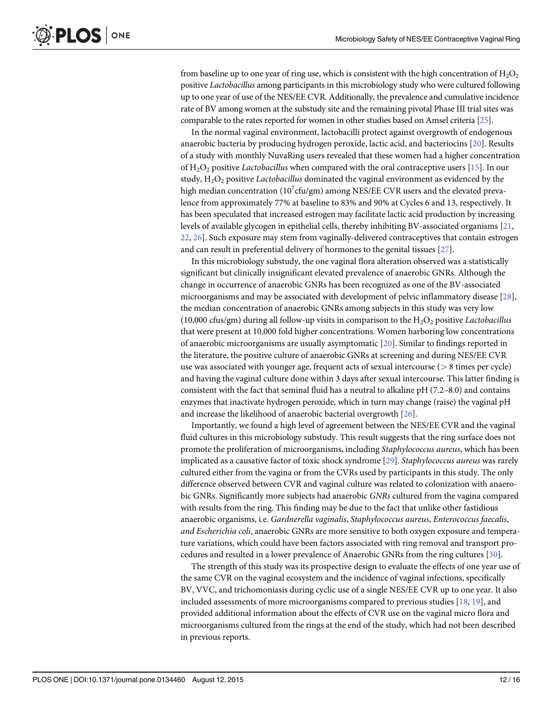<span id="page-11-0"></span>from baseline up to one year of ring use, which is consistent with the high concentration of  $H_2O_2$ positive Lactobacillus among participants in this microbiology study who were cultured following up to one year of use of the NES/EE CVR. Additionally, the prevalence and cumulative incidence rate of BV among women at the substudy site and the remaining pivotal Phase III trial sites was comparable to the rates reported for women in other studies based on Amsel criteria [\[25\]](#page-14-0).

In the normal vaginal environment, lactobacilli protect against overgrowth of endogenous anaerobic bacteria by producing hydrogen peroxide, lactic acid, and bacteriocins [\[20](#page-14-0)]. Results of a study with monthly NuvaRing users revealed that these women had a higher concentration of  $H_2O_2$  positive Lactobacillus when compared with the oral contraceptive users [\[15\]](#page-14-0). In our study,  $H_2O_2$  positive *Lactobacillus* dominated the vaginal environment as evidenced by the high median concentration (10 $^7$ cfu/gm) among NES/EE CVR users and the elevated prevalence from approximately 77% at baseline to 83% and 90% at Cycles 6 and 13, respectively. It has been speculated that increased estrogen may facilitate lactic acid production by increasing levels of available glycogen in epithelial cells, thereby inhibiting BV-associated organisms [\[21,](#page-14-0) [22,](#page-14-0) [26\]](#page-14-0). Such exposure may stem from vaginally-delivered contraceptives that contain estrogen and can result in preferential delivery of hormones to the genital tissues [[27](#page-14-0)].

In this microbiology substudy, the one vaginal flora alteration observed was a statistically significant but clinically insignificant elevated prevalence of anaerobic GNRs. Although the change in occurrence of anaerobic GNRs has been recognized as one of the BV-associated microorganisms and may be associated with development of pelvic inflammatory disease [[28\]](#page-14-0), the median concentration of anaerobic GNRs among subjects in this study was very low (10,000 cfus/gm) during all follow-up visits in comparison to the  $H_2O_2$  positive Lactobacillus that were present at 10,000 fold higher concentrations. Women harboring low concentrations of anaerobic microorganisms are usually asymptomatic  $[20]$  $[20]$  $[20]$ . Similar to findings reported in the literature, the positive culture of anaerobic GNRs at screening and during NES/EE CVR use was associated with younger age, frequent acts of sexual intercourse ( $> 8$  times per cycle) and having the vaginal culture done within 3 days after sexual intercourse. This latter finding is consistent with the fact that seminal fluid has a neutral to alkaline pH (7.2–8.0) and contains enzymes that inactivate hydrogen peroxide, which in turn may change (raise) the vaginal pH and increase the likelihood of anaerobic bacterial overgrowth [\[26\]](#page-14-0).

Importantly, we found a high level of agreement between the NES/EE CVR and the vaginal fluid cultures in this microbiology substudy. This result suggests that the ring surface does not promote the proliferation of microorganisms, including Staphylococcus aureus, which has been implicated as a causative factor of toxic shock syndrome [\[29\]](#page-15-0). Staphylococcus aureus was rarely cultured either from the vagina or from the CVRs used by participants in this study. The only difference observed between CVR and vaginal culture was related to colonization with anaerobic GNRs. Significantly more subjects had anaerobic GNRs cultured from the vagina compared with results from the ring. This finding may be due to the fact that unlike other fastidious anaerobic organisms, i.e. Gardnerella vaginalis, Staphylococcus aureus, Enterococcus faecalis, and Escherichia coli, anaerobic GNRs are more sensitive to both oxygen exposure and temperature variations, which could have been factors associated with ring removal and transport procedures and resulted in a lower prevalence of Anaerobic GNRs from the ring cultures [[30](#page-15-0)].

The strength of this study was its prospective design to evaluate the effects of one year use of the same CVR on the vaginal ecosystem and the incidence of vaginal infections, specifically BV, VVC, and trichomoniasis during cyclic use of a single NES/EE CVR up to one year. It also included assessments of more microorganisms compared to previous studies [\[18](#page-14-0), [19](#page-14-0)], and provided additional information about the effects of CVR use on the vaginal micro flora and microorganisms cultured from the rings at the end of the study, which had not been described in previous reports.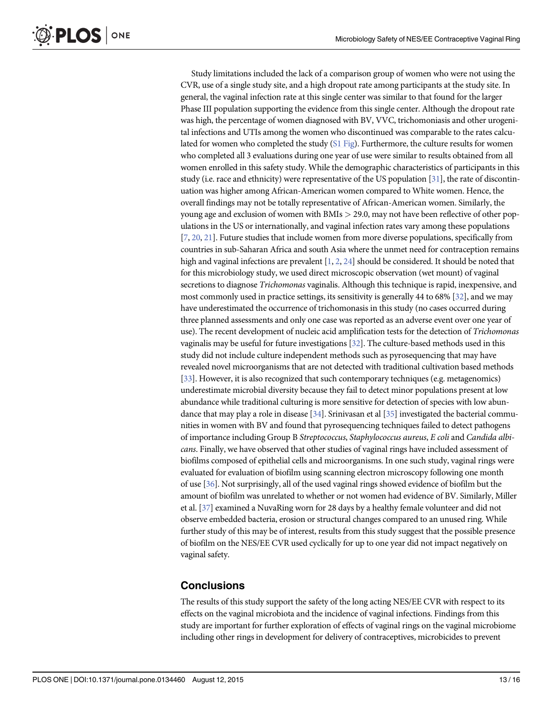<span id="page-12-0"></span>**PLOS I** ONE

> Study limitations included the lack of a comparison group of women who were not using the CVR, use of a single study site, and a high dropout rate among participants at the study site. In general, the vaginal infection rate at this single center was similar to that found for the larger Phase III population supporting the evidence from this single center. Although the dropout rate was high, the percentage of women diagnosed with BV, VVC, trichomoniasis and other urogenital infections and UTIs among the women who discontinued was comparable to the rates calculated for women who completed the study  $(S1 Fig)$  $(S1 Fig)$  $(S1 Fig)$ . Furthermore, the culture results for women who completed all 3 evaluations during one year of use were similar to results obtained from all women enrolled in this safety study. While the demographic characteristics of participants in this study (i.e. race and ethnicity) were representative of the US population [\[31](#page-15-0)], the rate of discontinuation was higher among African-American women compared to White women. Hence, the overall findings may not be totally representative of African-American women. Similarly, the young age and exclusion of women with BMIs > 29.0, may not have been reflective of other populations in the US or internationally, and vaginal infection rates vary among these populations [\[7](#page-14-0), [20,](#page-14-0) [21](#page-14-0)]. Future studies that include women from more diverse populations, specifically from countries in sub-Saharan Africa and south Asia where the unmet need for contraception remains high and vaginal infections are prevalent  $[1, 2, 24]$  $[1, 2, 24]$  $[1, 2, 24]$  $[1, 2, 24]$  $[1, 2, 24]$  $[1, 2, 24]$  should be considered. It should be noted that for this microbiology study, we used direct microscopic observation (wet mount) of vaginal secretions to diagnose *Trichomonas* vaginalis. Although this technique is rapid, inexpensive, and most commonly used in practice settings, its sensitivity is generally 44 to 68% [\[32\]](#page-15-0), and we may have underestimated the occurrence of trichomonasis in this study (no cases occurred during three planned assessments and only one case was reported as an adverse event over one year of use). The recent development of nucleic acid amplification tests for the detection of Trichomonas vaginalis may be useful for future investigations  $[32]$  $[32]$  $[32]$ . The culture-based methods used in this study did not include culture independent methods such as pyrosequencing that may have revealed novel microorganisms that are not detected with traditional cultivation based methods [\[33\]](#page-15-0). However, it is also recognized that such contemporary techniques (e.g. metagenomics) underestimate microbial diversity because they fail to detect minor populations present at low abundance while traditional culturing is more sensitive for detection of species with low abundance that may play a role in disease [\[34\]](#page-15-0). Srinivasan et al [\[35\]](#page-15-0) investigated the bacterial communities in women with BV and found that pyrosequencing techniques failed to detect pathogens of importance including Group B Streptococcus, Staphylococcus aureus, E coli and Candida albicans. Finally, we have observed that other studies of vaginal rings have included assessment of biofilms composed of epithelial cells and microorganisms. In one such study, vaginal rings were evaluated for evaluation of biofilm using scanning electron microscopy following one month of use [\[36\]](#page-15-0). Not surprisingly, all of the used vaginal rings showed evidence of biofilm but the amount of biofilm was unrelated to whether or not women had evidence of BV. Similarly, Miller et al. [\[37\]](#page-15-0) examined a NuvaRing worn for 28 days by a healthy female volunteer and did not observe embedded bacteria, erosion or structural changes compared to an unused ring. While further study of this may be of interest, results from this study suggest that the possible presence of biofilm on the NES/EE CVR used cyclically for up to one year did not impact negatively on vaginal safety.

## **Conclusions**

The results of this study support the safety of the long acting NES/EE CVR with respect to its effects on the vaginal microbiota and the incidence of vaginal infections. Findings from this study are important for further exploration of effects of vaginal rings on the vaginal microbiome including other rings in development for delivery of contraceptives, microbicides to prevent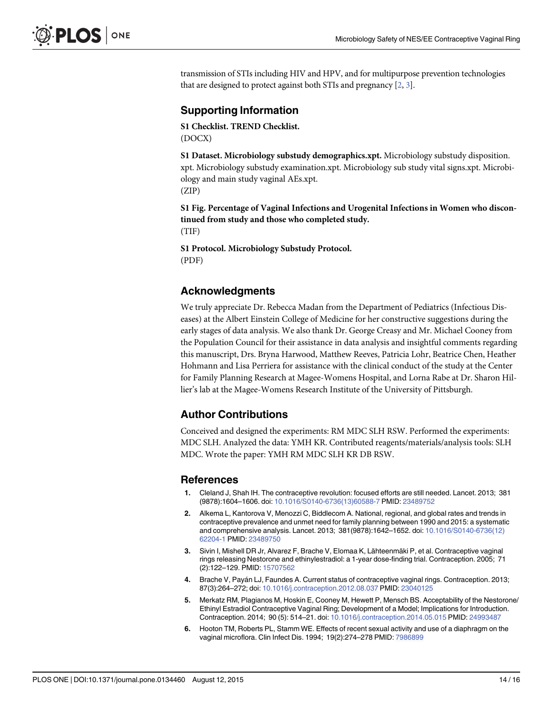<span id="page-13-0"></span>transmission of STIs including HIV and HPV, and for multipurpose prevention technologies that are designed to protect against both STIs and pregnancy  $[2, 3]$ .

## Supporting Information

[S1 Checklist.](http://www.plosone.org/article/fetchSingleRepresentation.action?uri=info:doi/10.1371/journal.pone.0134460.s001) TREND Checklist. (DOCX)

[S1 Dataset.](http://www.plosone.org/article/fetchSingleRepresentation.action?uri=info:doi/10.1371/journal.pone.0134460.s002) Microbiology substudy demographics.xpt. Microbiology substudy disposition. xpt. Microbiology substudy examination.xpt. Microbiology sub study vital signs.xpt. Microbiology and main study vaginal AEs.xpt. (ZIP)

[S1 Fig.](http://www.plosone.org/article/fetchSingleRepresentation.action?uri=info:doi/10.1371/journal.pone.0134460.s003) Percentage of Vaginal Infections and Urogenital Infections in Women who discontinued from study and those who completed study. (TIF)

[S1 Protocol.](http://www.plosone.org/article/fetchSingleRepresentation.action?uri=info:doi/10.1371/journal.pone.0134460.s004) Microbiology Substudy Protocol. (PDF)

## Acknowledgments

We truly appreciate Dr. Rebecca Madan from the Department of Pediatrics (Infectious Diseases) at the Albert Einstein College of Medicine for her constructive suggestions during the early stages of data analysis. We also thank Dr. George Creasy and Mr. Michael Cooney from the Population Council for their assistance in data analysis and insightful comments regarding this manuscript, Drs. Bryna Harwood, Matthew Reeves, Patricia Lohr, Beatrice Chen, Heather Hohmann and Lisa Perriera for assistance with the clinical conduct of the study at the Center for Family Planning Research at Magee-Womens Hospital, and Lorna Rabe at Dr. Sharon Hillier's lab at the Magee-Womens Research Institute of the University of Pittsburgh.

## Author Contributions

Conceived and designed the experiments: RM MDC SLH RSW. Performed the experiments: MDC SLH. Analyzed the data: YMH KR. Contributed reagents/materials/analysis tools: SLH MDC. Wrote the paper: YMH RM MDC SLH KR DB RSW.

## References

- [1.](#page-1-0) Cleland J, Shah IH. The contraceptive revolution: focused efforts are still needed. Lancet. 2013; 381 (9878):1604–1606. doi: [10.1016/S0140-6736\(13\)60588-7](http://dx.doi.org/10.1016/S0140-6736(13)60588-7) PMID: [23489752](http://www.ncbi.nlm.nih.gov/pubmed/23489752)
- [2.](#page-1-0) Alkema L, Kantorova V, Menozzi C, Biddlecom A. National, regional, and global rates and trends in contraceptive prevalence and unmet need for family planning between 1990 and 2015: a systematic and comprehensive analysis. Lancet. 2013; 381(9878):1642–1652. doi: [10.1016/S0140-6736\(12\)](http://dx.doi.org/10.1016/S0140-6736(12)62204-1) [62204-1](http://dx.doi.org/10.1016/S0140-6736(12)62204-1) PMID: [23489750](http://www.ncbi.nlm.nih.gov/pubmed/23489750)
- [3.](#page-1-0) Sivin I, Mishell DR Jr, Alvarez F, Brache V, Elomaa K, Lähteenmäki P, et al. Contraceptive vaginal rings releasing Nestorone and ethinylestradiol: a 1-year dose-finding trial. Contraception. 2005; 71 (2):122–129. PMID: [15707562](http://www.ncbi.nlm.nih.gov/pubmed/15707562)
- 4. Brache V, Payán LJ, Faundes A. Current status of contraceptive vaginal rings. Contraception. 2013; 87(3):264–272; doi: [10.1016/j.contraception.2012.08.037](http://dx.doi.org/10.1016/j.contraception.2012.08.037) PMID: [23040125](http://www.ncbi.nlm.nih.gov/pubmed/23040125)
- [5.](#page-1-0) Merkatz RM, Plagianos M, Hoskin E, Cooney M, Hewett P, Mensch BS. Acceptability of the Nestorone/ Ethinyl Estradiol Contraceptive Vaginal Ring; Development of a Model; Implications for Introduction. Contraception. 2014; 90 (5): 514–21. doi: [10.1016/j.contraception.2014.05.015](http://dx.doi.org/10.1016/j.contraception.2014.05.015) PMID: [24993487](http://www.ncbi.nlm.nih.gov/pubmed/24993487)
- [6.](#page-1-0) Hooton TM, Roberts PL, Stamm WE. Effects of recent sexual activity and use of a diaphragm on the vaginal microflora. Clin Infect Dis. 1994; 19(2):274–278 PMID: [7986899](http://www.ncbi.nlm.nih.gov/pubmed/7986899)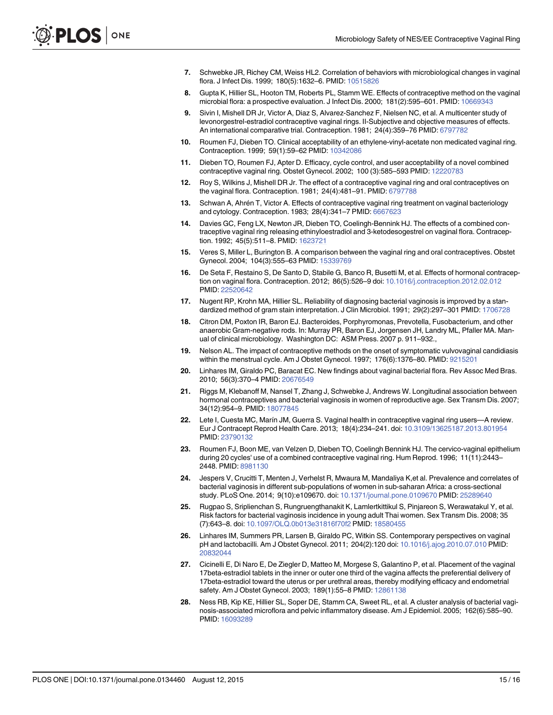- <span id="page-14-0"></span>[7.](#page-10-0) Schwebke JR, Richey CM, Weiss HL2. Correlation of behaviors with microbiological changes in vaginal flora. J Infect Dis. 1999; 180(5):1632–6. PMID: [10515826](http://www.ncbi.nlm.nih.gov/pubmed/10515826)
- [8.](#page-1-0) Gupta K, Hillier SL, Hooton TM, Roberts PL, Stamm WE. Effects of contraceptive method on the vaginal microbial flora: a prospective evaluation. J Infect Dis. 2000; 181(2):595–601. PMID: [10669343](http://www.ncbi.nlm.nih.gov/pubmed/10669343)
- [9.](#page-1-0) Sivin I, Mishell DR Jr, Victor A, Diaz S, Alvarez-Sanchez F, Nielsen NC, et al. A multicenter study of levonorgestrel-estradiol contraceptive vaginal rings. II-Subjective and objective measures of effects. An international comparative trial. Contraception. 1981; 24(4):359–76 PMID: [6797782](http://www.ncbi.nlm.nih.gov/pubmed/6797782)
- 10. Roumen FJ, Dieben TO. Clinical acceptability of an ethylene-vinyl-acetate non medicated vaginal ring. Contraception. 1999; 59(1):59–62 PMID: [10342086](http://www.ncbi.nlm.nih.gov/pubmed/10342086)
- [11.](#page-1-0) Dieben TO, Roumen FJ, Apter D. Efficacy, cycle control, and user acceptability of a novel combined contraceptive vaginal ring. Obstet Gynecol. 2002; 100 (3):585–593 PMID: [12220783](http://www.ncbi.nlm.nih.gov/pubmed/12220783)
- [12.](#page-2-0) Roy S, Wilkins J, Mishell DR Jr. The effect of a contraceptive vaginal ring and oral contraceptives on the vaginal flora. Contraception. 1981; 24(4):481–91. PMID: [6797788](http://www.ncbi.nlm.nih.gov/pubmed/6797788)
- 13. Schwan A, Ahrén T, Victor A. Effects of contraceptive vaginal ring treatment on vaginal bacteriology and cytology. Contraception. 1983; 28(4):341–7 PMID: [6667623](http://www.ncbi.nlm.nih.gov/pubmed/6667623)
- [14.](#page-2-0) Davies GC, Feng LX, Newton JR, Dieben TO, Coelingh-Bennink HJ. The effects of a combined contraceptive vaginal ring releasing ethinyloestradiol and 3-ketodesogestrel on vaginal flora. Contraception. 1992; 45(5):511–8. PMID: [1623721](http://www.ncbi.nlm.nih.gov/pubmed/1623721)
- [15.](#page-2-0) Veres S, Miller L, Burington B. A comparison between the vaginal ring and oral contraceptives. Obstet Gynecol. 2004; 104(3):555–63 PMID: [15339769](http://www.ncbi.nlm.nih.gov/pubmed/15339769)
- [16.](#page-2-0) De Seta F, Restaino S, De Santo D, Stabile G, Banco R, Busetti M, et al. Effects of hormonal contraception on vaginal flora. Contraception. 2012; 86(5):526–9 doi: [10.1016/j.contraception.2012.02.012](http://dx.doi.org/10.1016/j.contraception.2012.02.012) PMID: [22520642](http://www.ncbi.nlm.nih.gov/pubmed/22520642)
- [17.](#page-4-0) Nugent RP, Krohn MA, Hillier SL. Reliability of diagnosing bacterial vaginosis is improved by a standardized method of gram stain interpretation. J Clin Microbiol. 1991; 29(2):297–301 PMID: [1706728](http://www.ncbi.nlm.nih.gov/pubmed/1706728)
- [18.](#page-4-0) Citron DM, Poxton IR, Baron EJ. Bacteroides, Porphyromonas, Prevotella, Fusobacterium, and other anaerobic Gram-negative rods. In: Murray PR, Baron EJ, Jorgensen JH, Landry ML, Pfaller MA. Manual of clinical microbiology. Washington DC: ASM Press. 2007 p. 911–932.,
- [19.](#page-10-0) Nelson AL. The impact of contraceptive methods on the onset of symptomatic vulvovaginal candidiasis within the menstrual cycle. Am J Obstet Gynecol. 1997; 176(6):1376–80. PMID: [9215201](http://www.ncbi.nlm.nih.gov/pubmed/9215201)
- [20.](#page-10-0) Linhares IM, Giraldo PC, Baracat EC. New findings about vaginal bacterial flora. Rev Assoc Med Bras. 2010; 56(3):370–4 PMID: [20676549](http://www.ncbi.nlm.nih.gov/pubmed/20676549)
- [21.](#page-10-0) Riggs M, Klebanoff M, Nansel T, Zhang J, Schwebke J, Andrews W. Longitudinal association between hormonal contraceptives and bacterial vaginosis in women of reproductive age. Sex Transm Dis. 2007; 34(12):954–9. PMID: [18077845](http://www.ncbi.nlm.nih.gov/pubmed/18077845)
- [22.](#page-10-0) Lete I, Cuesta MC, Marín JM, Guerra S. Vaginal health in contraceptive vaginal ring users—A review. Eur J Contracept Reprod Health Care. 2013; 18(4):234–241. doi: [10.3109/13625187.2013.801954](http://dx.doi.org/10.3109/13625187.2013.801954) PMID: [23790132](http://www.ncbi.nlm.nih.gov/pubmed/23790132)
- 23. Roumen FJ, Boon ME, van Velzen D, Dieben TO, Coelingh Bennink HJ. The cervico-vaginal epithelium during 20 cycles' use of a combined contraceptive vaginal ring. Hum Reprod. 1996; 11(11):2443– 2448. PMID: [8981130](http://www.ncbi.nlm.nih.gov/pubmed/8981130)
- [24.](#page-10-0) Jespers V, Crucitti T, Menten J, Verhelst R, Mwaura M, Mandaliya K,et al. Prevalence and correlates of bacterial vaginosis in different sub-populations of women in sub-saharan Africa: a cross-sectional study. PLoS One. 2014; 9(10):e109670. doi: [10.1371/journal.pone.0109670](http://dx.doi.org/10.1371/journal.pone.0109670) PMID: [25289640](http://www.ncbi.nlm.nih.gov/pubmed/25289640)
- [25.](#page-11-0) Rugpao S, Sriplienchan S, Rungruengthanakit K, Lamlertkittikul S, Pinjareon S, Werawatakul Y, et al. Risk factors for bacterial vaginosis incidence in young adult Thai women. Sex Transm Dis. 2008; 35 (7):643–8. doi: [10.1097/OLQ.0b013e31816f70f2](http://dx.doi.org/10.1097/OLQ.0b013e31816f70f2) PMID: [18580455](http://www.ncbi.nlm.nih.gov/pubmed/18580455)
- [26.](#page-11-0) Linhares IM, Summers PR, Larsen B, Giraldo PC, Witkin SS. Contemporary perspectives on vaginal pH and lactobacilli. Am J Obstet Gynecol. 2011; 204(2):120 doi: [10.1016/j.ajog.2010.07.010](http://dx.doi.org/10.1016/j.ajog.2010.07.010) PMID: [20832044](http://www.ncbi.nlm.nih.gov/pubmed/20832044)
- [27.](#page-11-0) Cicinelli E, Di Naro E, De Ziegler D, Matteo M, Morgese S, Galantino P, et al. Placement of the vaginal 17beta-estradiol tablets in the inner or outer one third of the vagina affects the preferential delivery of 17beta-estradiol toward the uterus or per urethral areas, thereby modifying efficacy and endometrial safety. Am J Obstet Gynecol. 2003; 189(1):55-8 PMID: [12861138](http://www.ncbi.nlm.nih.gov/pubmed/12861138)
- [28.](#page-11-0) Ness RB, Kip KE, Hillier SL, Soper DE, Stamm CA, Sweet RL, et al. A cluster analysis of bacterial vaginosis-associated microflora and pelvic inflammatory disease. Am J Epidemiol. 2005; 162(6):585–90. PMID: [16093289](http://www.ncbi.nlm.nih.gov/pubmed/16093289)